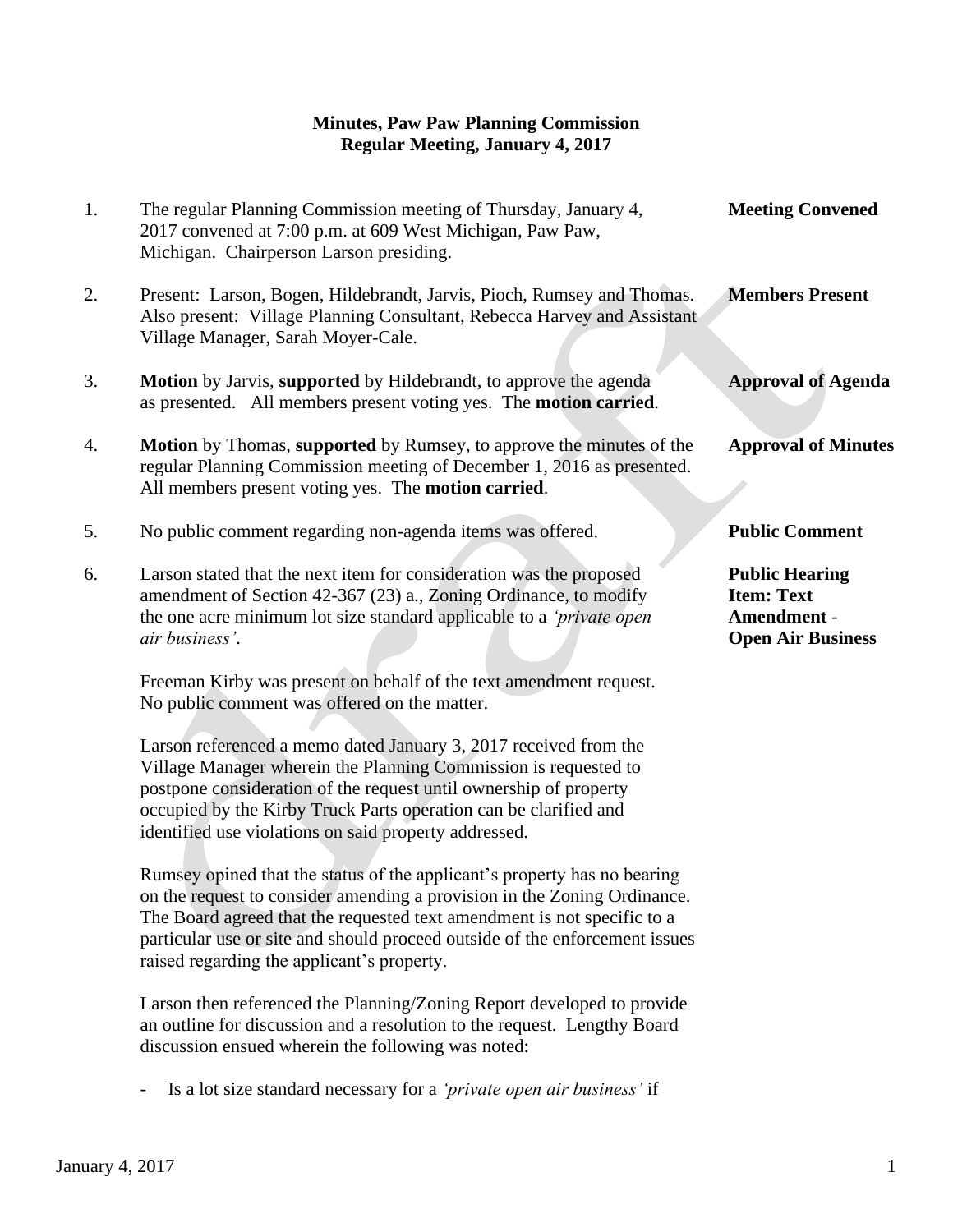## **Minutes, Paw Paw Planning Commission Regular Meeting, January 4, 2017**

| 1. | The regular Planning Commission meeting of Thursday, January 4,<br>2017 convened at 7:00 p.m. at 609 West Michigan, Paw Paw,<br>Michigan. Chairperson Larson presiding.                                                                                                                                                                                                                                                                                                                                                                                                                                                                                                                                                                                                                                                                                                                                                                                                                                                                 | <b>Meeting Convened</b>                                                               |
|----|-----------------------------------------------------------------------------------------------------------------------------------------------------------------------------------------------------------------------------------------------------------------------------------------------------------------------------------------------------------------------------------------------------------------------------------------------------------------------------------------------------------------------------------------------------------------------------------------------------------------------------------------------------------------------------------------------------------------------------------------------------------------------------------------------------------------------------------------------------------------------------------------------------------------------------------------------------------------------------------------------------------------------------------------|---------------------------------------------------------------------------------------|
| 2. | Present: Larson, Bogen, Hildebrandt, Jarvis, Pioch, Rumsey and Thomas.<br>Also present: Village Planning Consultant, Rebecca Harvey and Assistant<br>Village Manager, Sarah Moyer-Cale.                                                                                                                                                                                                                                                                                                                                                                                                                                                                                                                                                                                                                                                                                                                                                                                                                                                 | <b>Members Present</b>                                                                |
| 3. | Motion by Jarvis, supported by Hildebrandt, to approve the agenda<br>as presented. All members present voting yes. The motion carried.                                                                                                                                                                                                                                                                                                                                                                                                                                                                                                                                                                                                                                                                                                                                                                                                                                                                                                  | <b>Approval of Agenda</b>                                                             |
| 4. | Motion by Thomas, supported by Rumsey, to approve the minutes of the<br>regular Planning Commission meeting of December 1, 2016 as presented.<br>All members present voting yes. The motion carried.                                                                                                                                                                                                                                                                                                                                                                                                                                                                                                                                                                                                                                                                                                                                                                                                                                    | <b>Approval of Minutes</b>                                                            |
| 5. | No public comment regarding non-agenda items was offered.                                                                                                                                                                                                                                                                                                                                                                                                                                                                                                                                                                                                                                                                                                                                                                                                                                                                                                                                                                               | <b>Public Comment</b>                                                                 |
| 6. | Larson stated that the next item for consideration was the proposed<br>amendment of Section 42-367 (23) a., Zoning Ordinance, to modify<br>the one acre minimum lot size standard applicable to a 'private open<br>air business'.                                                                                                                                                                                                                                                                                                                                                                                                                                                                                                                                                                                                                                                                                                                                                                                                       | <b>Public Hearing</b><br><b>Item: Text</b><br>Amendment -<br><b>Open Air Business</b> |
|    | Freeman Kirby was present on behalf of the text amendment request.<br>No public comment was offered on the matter.<br>Larson referenced a memo dated January 3, 2017 received from the<br>Village Manager wherein the Planning Commission is requested to<br>postpone consideration of the request until ownership of property<br>occupied by the Kirby Truck Parts operation can be clarified and<br>identified use violations on said property addressed.<br>Rumsey opined that the status of the applicant's property has no bearing<br>on the request to consider amending a provision in the Zoning Ordinance.<br>The Board agreed that the requested text amendment is not specific to a<br>particular use or site and should proceed outside of the enforcement issues<br>raised regarding the applicant's property.<br>Larson then referenced the Planning/Zoning Report developed to provide<br>an outline for discussion and a resolution to the request. Lengthy Board<br>discussion ensued wherein the following was noted: |                                                                                       |

- Is a lot size standard necessary for a *'private open air business'* if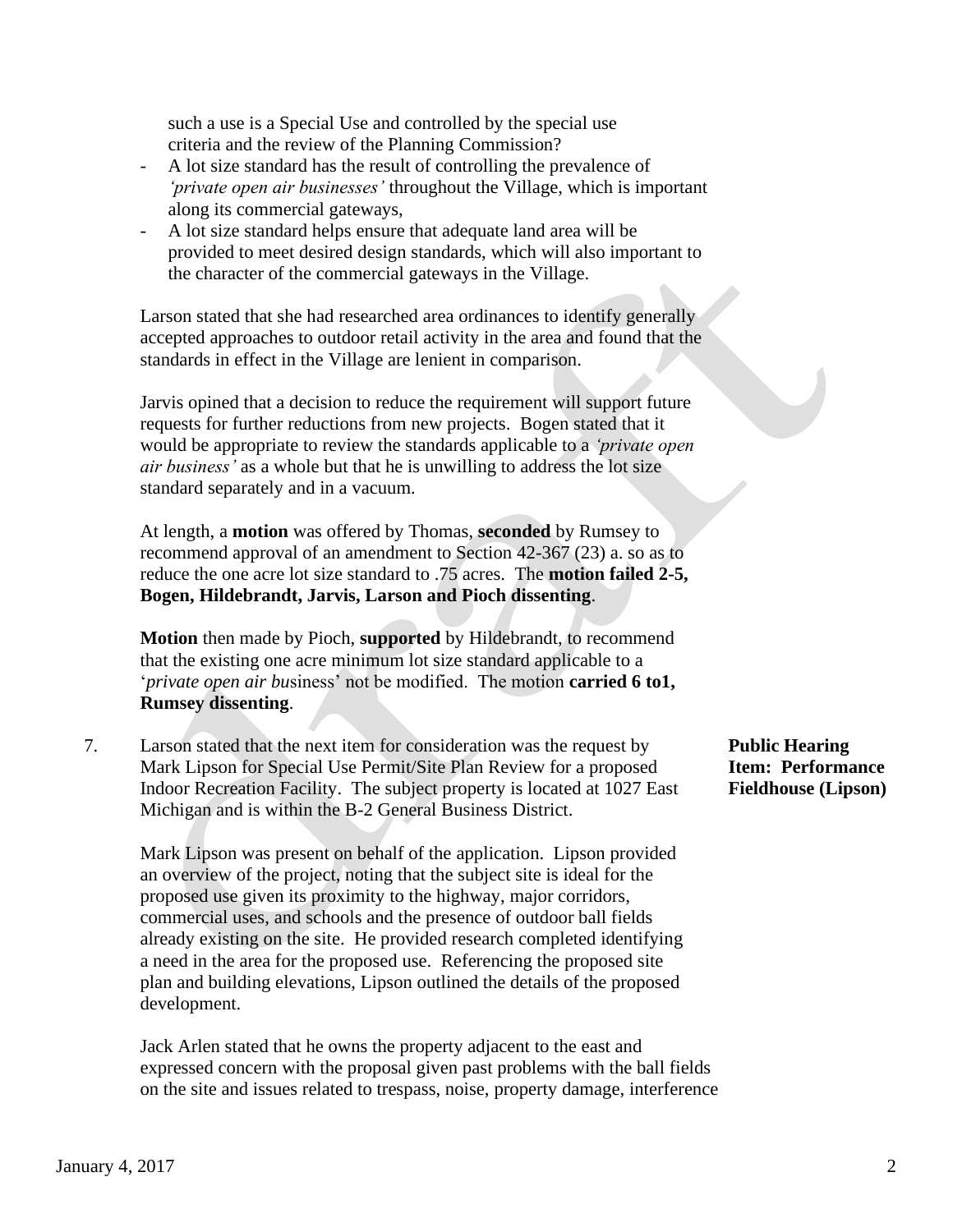such a use is a Special Use and controlled by the special use criteria and the review of the Planning Commission?

- A lot size standard has the result of controlling the prevalence of *'private open air businesses'* throughout the Village, which is important along its commercial gateways,
- A lot size standard helps ensure that adequate land area will be provided to meet desired design standards, which will also important to the character of the commercial gateways in the Village.

Larson stated that she had researched area ordinances to identify generally accepted approaches to outdoor retail activity in the area and found that the standards in effect in the Village are lenient in comparison.

Jarvis opined that a decision to reduce the requirement will support future requests for further reductions from new projects. Bogen stated that it would be appropriate to review the standards applicable to a *'private open air business'* as a whole but that he is unwilling to address the lot size standard separately and in a vacuum.

At length, a **motion** was offered by Thomas, **seconded** by Rumsey to recommend approval of an amendment to Section 42-367 (23) a. so as to reduce the one acre lot size standard to .75 acres. The **motion failed 2-5, Bogen, Hildebrandt, Jarvis, Larson and Pioch dissenting**.

**Motion** then made by Pioch, **supported** by Hildebrandt, to recommend that the existing one acre minimum lot size standard applicable to a '*private open air bu*siness' not be modified. The motion **carried 6 to1, Rumsey dissenting**.

7. Larson stated that the next item for consideration was the request by **Public Hearing** Mark Lipson for Special Use Permit/Site Plan Review for a proposed **Item: Performance** Indoor Recreation Facility. The subject property is located at 1027 East **Fieldhouse (Lipson)** Michigan and is within the B-2 General Business District.

 Mark Lipson was present on behalf of the application. Lipson provided an overview of the project, noting that the subject site is ideal for the proposed use given its proximity to the highway, major corridors, commercial uses, and schools and the presence of outdoor ball fields already existing on the site. He provided research completed identifying a need in the area for the proposed use. Referencing the proposed site plan and building elevations, Lipson outlined the details of the proposed development.

 Jack Arlen stated that he owns the property adjacent to the east and expressed concern with the proposal given past problems with the ball fields on the site and issues related to trespass, noise, property damage, interference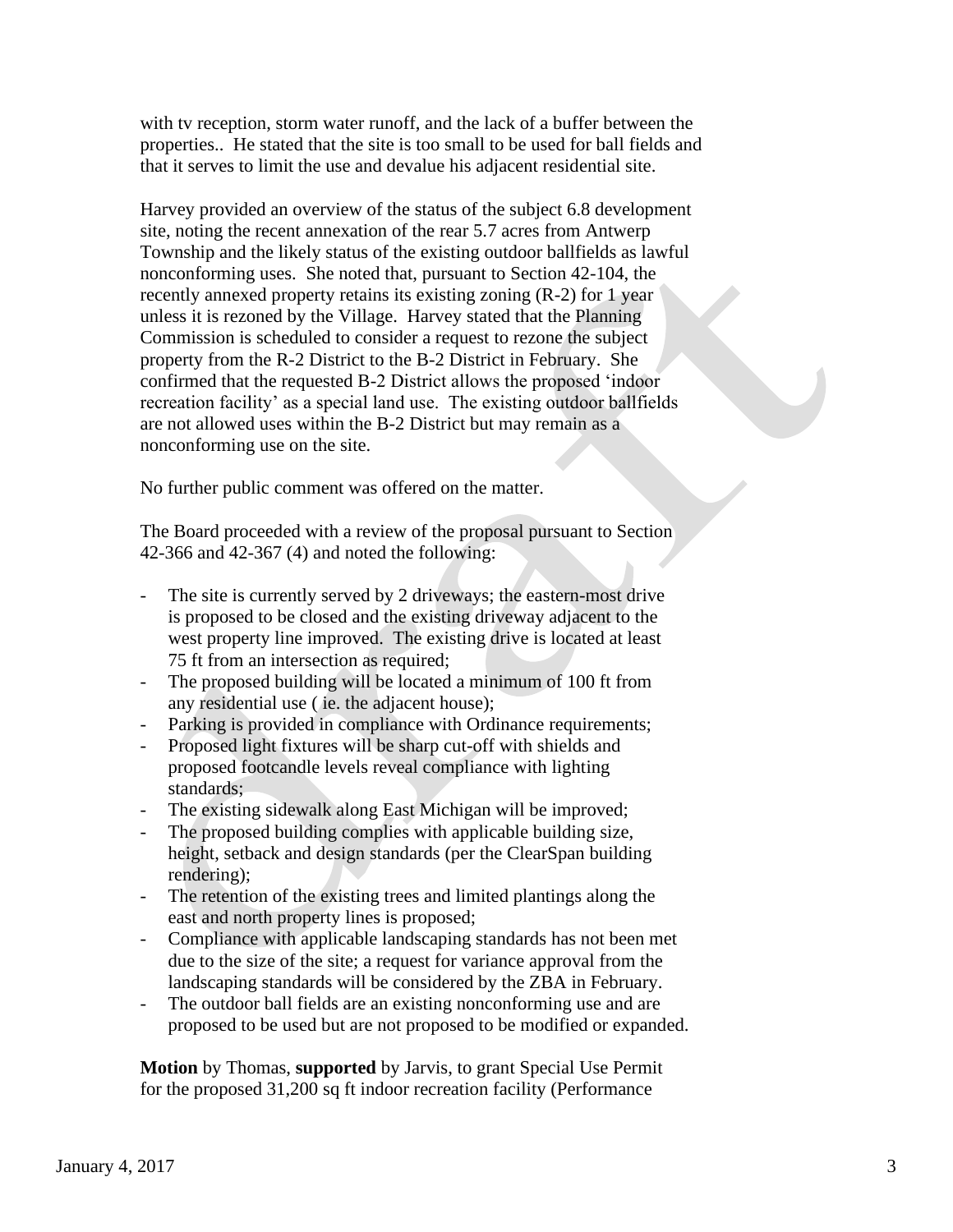with tv reception, storm water runoff, and the lack of a buffer between the properties.. He stated that the site is too small to be used for ball fields and that it serves to limit the use and devalue his adjacent residential site.

 Harvey provided an overview of the status of the subject 6.8 development site, noting the recent annexation of the rear 5.7 acres from Antwerp Township and the likely status of the existing outdoor ballfields as lawful nonconforming uses. She noted that, pursuant to Section 42-104, the recently annexed property retains its existing zoning (R-2) for 1 year unless it is rezoned by the Village. Harvey stated that the Planning Commission is scheduled to consider a request to rezone the subject property from the R-2 District to the B-2 District in February. She confirmed that the requested B-2 District allows the proposed 'indoor recreation facility' as a special land use. The existing outdoor ballfields are not allowed uses within the B-2 District but may remain as a nonconforming use on the site.

No further public comment was offered on the matter.

The Board proceeded with a review of the proposal pursuant to Section 42-366 and 42-367 (4) and noted the following:

- The site is currently served by 2 driveways; the eastern-most drive is proposed to be closed and the existing driveway adjacent to the west property line improved. The existing drive is located at least 75 ft from an intersection as required;
- The proposed building will be located a minimum of 100 ft from any residential use ( ie. the adjacent house);
- Parking is provided in compliance with Ordinance requirements;
- Proposed light fixtures will be sharp cut-off with shields and proposed footcandle levels reveal compliance with lighting standards;
- The existing sidewalk along East Michigan will be improved;
- The proposed building complies with applicable building size, height, setback and design standards (per the ClearSpan building rendering);
- The retention of the existing trees and limited plantings along the east and north property lines is proposed;
- Compliance with applicable landscaping standards has not been met due to the size of the site; a request for variance approval from the landscaping standards will be considered by the ZBA in February.
- The outdoor ball fields are an existing nonconforming use and are proposed to be used but are not proposed to be modified or expanded.

**Motion** by Thomas, **supported** by Jarvis, to grant Special Use Permit for the proposed 31,200 sq ft indoor recreation facility (Performance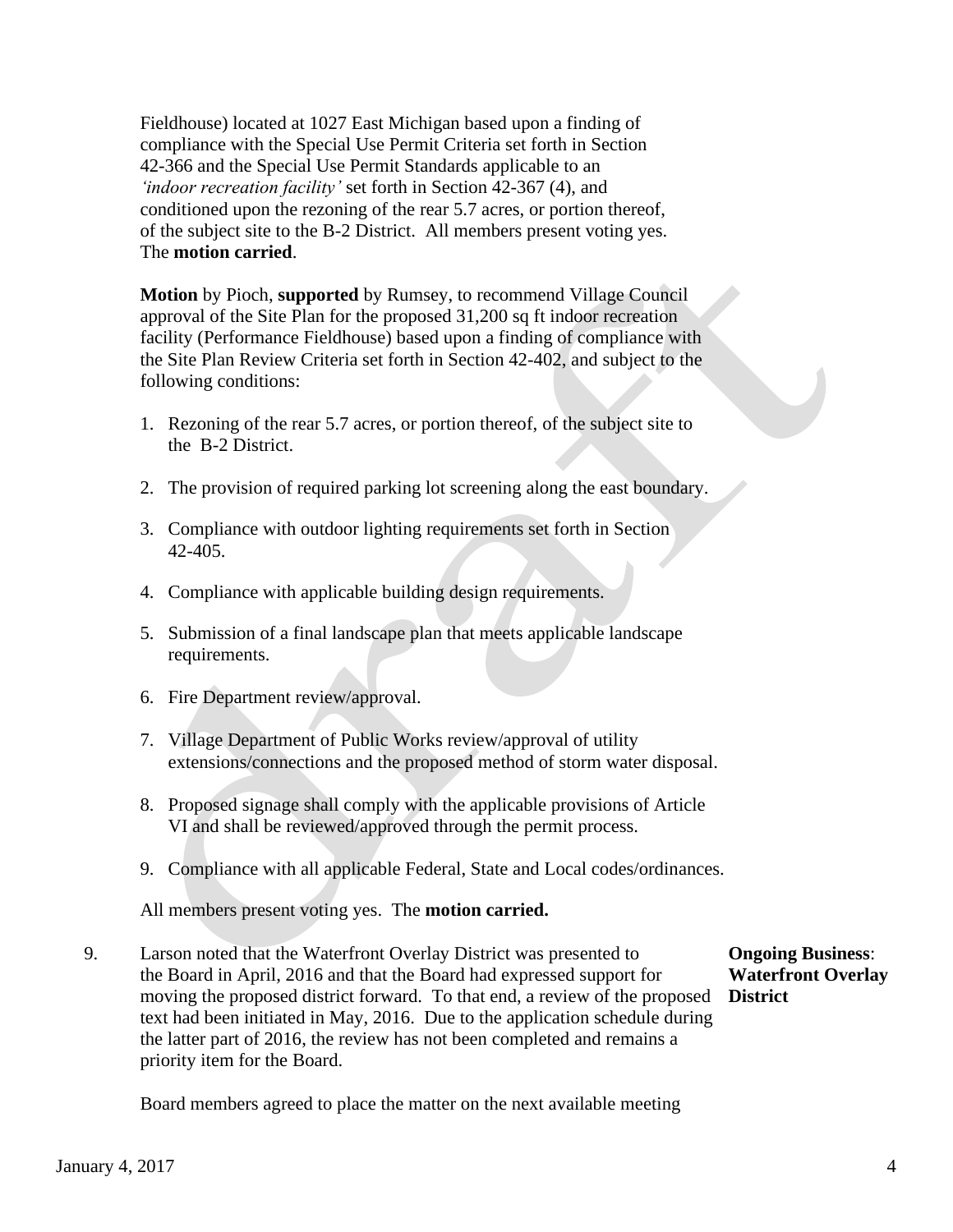Fieldhouse) located at 1027 East Michigan based upon a finding of compliance with the Special Use Permit Criteria set forth in Section 42-366 and the Special Use Permit Standards applicable to an *'indoor recreation facility'* set forth in Section 42-367 (4), and conditioned upon the rezoning of the rear 5.7 acres, or portion thereof, of the subject site to the B-2 District. All members present voting yes. The **motion carried**.

 **Motion** by Pioch, **supported** by Rumsey, to recommend Village Council approval of the Site Plan for the proposed 31,200 sq ft indoor recreation facility (Performance Fieldhouse) based upon a finding of compliance with the Site Plan Review Criteria set forth in Section 42-402, and subject to the following conditions:

- 1. Rezoning of the rear 5.7 acres, or portion thereof, of the subject site to the B-2 District.
- 2. The provision of required parking lot screening along the east boundary.
- 3. Compliance with outdoor lighting requirements set forth in Section 42-405.
- 4. Compliance with applicable building design requirements.
- 5. Submission of a final landscape plan that meets applicable landscape requirements.
- 6. Fire Department review/approval.
- 7. Village Department of Public Works review/approval of utility extensions/connections and the proposed method of storm water disposal.
- 8. Proposed signage shall comply with the applicable provisions of Article VI and shall be reviewed/approved through the permit process.
- 9. Compliance with all applicable Federal, State and Local codes/ordinances.

All members present voting yes. The **motion carried.**

9. Larson noted that the Waterfront Overlay District was presented to **Ongoing Business**: the Board in April, 2016 and that the Board had expressed support for **Waterfront Overlay** moving the proposed district forward. To that end, a review of the proposed **District** text had been initiated in May, 2016. Due to the application schedule during the latter part of 2016, the review has not been completed and remains a priority item for the Board.

Board members agreed to place the matter on the next available meeting